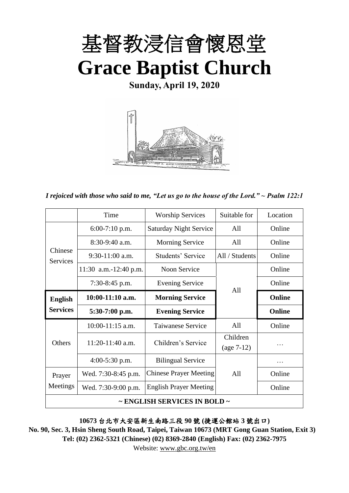

**Sunday, April 19, 2020**



*I rejoiced with those who said to me, "Let us go to the house of the Lord." ~ Psalm 122:1*

|                              | Time                  | <b>Worship Services</b>                                                                                                                        | Suitable for   | Location      |
|------------------------------|-----------------------|------------------------------------------------------------------------------------------------------------------------------------------------|----------------|---------------|
| Chinese<br><b>Services</b>   | $6:00-7:10$ p.m.      | <b>Saturday Night Service</b>                                                                                                                  | All            | Online        |
|                              | $8:30-9:40$ a.m.      | <b>Morning Service</b>                                                                                                                         | All            | Online        |
|                              | $9:30-11:00$ a.m.     | Students' Service                                                                                                                              | All / Students | Online        |
|                              | 11:30 a.m.-12:40 p.m. | Noon Service                                                                                                                                   |                | Online        |
|                              | $7:30-8:45$ p.m.      | <b>Evening Service</b>                                                                                                                         |                | Online        |
| <b>English</b>               | $10:00-11:10$ a.m.    | <b>Morning Service</b>                                                                                                                         |                | Online        |
| <b>Services</b>              | $5:30-7:00$ p.m.      | <b>Evening Service</b>                                                                                                                         |                | <b>Online</b> |
|                              | $10:00-11:15$ a.m.    | Taiwanese Service                                                                                                                              | All            | Online        |
| <b>Others</b>                | $11:20-11:40$ a.m.    |                                                                                                                                                | Children       |               |
|                              |                       | A11<br>Children's Service<br>$(age 7-12)$<br><b>Bilingual Service</b><br><b>Chinese Prayer Meeting</b><br>All<br><b>English Prayer Meeting</b> |                |               |
|                              | $4:00-5:30$ p.m.      |                                                                                                                                                |                |               |
| Prayer                       | Wed. 7:30-8:45 p.m.   |                                                                                                                                                |                | Online        |
| Meetings                     | Wed. 7:30-9:00 p.m.   |                                                                                                                                                |                | Online        |
| ~ ENGLISH SERVICES IN BOLD ~ |                       |                                                                                                                                                |                |               |

**10673** 台北市大安區新生南路三段 **90** 號 **(**捷運公館站 **3** 號出口**)**

**No. 90, Sec. 3, Hsin Sheng South Road, Taipei, Taiwan 10673 (MRT Gong Guan Station, Exit 3) Tel: (02) 2362-5321 (Chinese) (02) 8369-2840 (English) Fax: (02) 2362-7975**

Website: [www.gbc.org.tw/en](http://www.gbc.org.tw/en)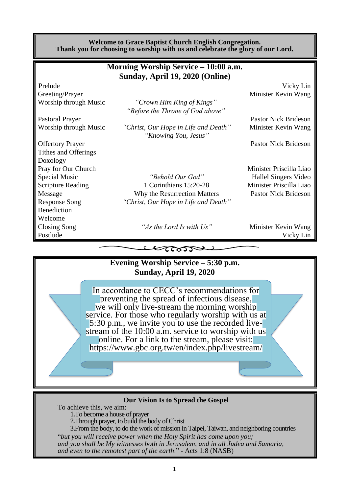#### **Welcome to Grace Baptist Church English Congregation. Thank you for choosing to worship with us and celebrate the glory of our Lord.**

| Morning Worship Service – 10:00 a.m. |                                                              |                             |  |  |  |  |  |
|--------------------------------------|--------------------------------------------------------------|-----------------------------|--|--|--|--|--|
| Sunday, April 19, 2020 (Online)      |                                                              |                             |  |  |  |  |  |
| Prelude                              |                                                              | Vicky Lin                   |  |  |  |  |  |
| Greeting/Prayer                      |                                                              | Minister Kevin Wang         |  |  |  |  |  |
| Worship through Music                | "Crown Him King of Kings"                                    |                             |  |  |  |  |  |
|                                      | "Before the Throne of God above"                             |                             |  |  |  |  |  |
| Pastoral Prayer                      |                                                              | <b>Pastor Nick Brideson</b> |  |  |  |  |  |
| Worship through Music                | "Christ, Our Hope in Life and Death"<br>"Knowing You, Jesus" | Minister Kevin Wang         |  |  |  |  |  |
| <b>Offertory Prayer</b>              |                                                              | <b>Pastor Nick Brideson</b> |  |  |  |  |  |
| Tithes and Offerings                 |                                                              |                             |  |  |  |  |  |
| Doxology                             |                                                              |                             |  |  |  |  |  |
| Pray for Our Church                  |                                                              | Minister Priscilla Liao     |  |  |  |  |  |
| Special Music                        | "Behold Our God"                                             | Hallel Singers Video        |  |  |  |  |  |
| <b>Scripture Reading</b>             | 1 Corinthians 15:20-28                                       | Minister Priscilla Liao     |  |  |  |  |  |
| Message                              | Why the Resurrection Matters                                 | <b>Pastor Nick Brideson</b> |  |  |  |  |  |
| <b>Response Song</b>                 | "Christ, Our Hope in Life and Death"                         |                             |  |  |  |  |  |
| Benediction                          |                                                              |                             |  |  |  |  |  |
| Welcome                              |                                                              |                             |  |  |  |  |  |
| Closing Song                         | "As the Lord Is with Us"                                     | Minister Kevin Wang         |  |  |  |  |  |
| Postlude                             |                                                              | Vicky Lin                   |  |  |  |  |  |
|                                      | ເຮນກ                                                         |                             |  |  |  |  |  |



#### **Our Vision Is to Spread the Gospel**

To achieve this, we aim: 1.To become a house of prayer 2.Through prayer, to build the body of Christ 3.From the body, to do the work of mission in Taipei, Taiwan, and neighboring countries "*but you will receive power when the Holy Spirit has come upon you; and you shall be My witnesses both in Jerusalem, and in all Judea and Samaria, and even to the remotest part of the earth*." - Acts 1:8 (NASB)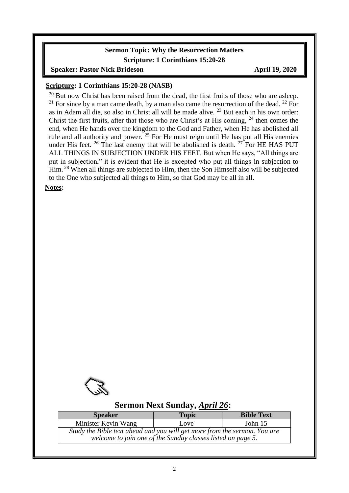#### **Sermon Topic: Why the Resurrection Matters Scripture: 1 Corinthians 15:20-28**

**Speaker: Pastor Nick Brideson April 19, 2020** 

#### **Scripture: 1 Corinthians 15:20-28 (NASB)**

 $20$  But now Christ has been raised from the dead, the first fruits of those who are asleep. <sup>21</sup> For since by a man came death, by a man also came the resurrection of the dead. <sup>22</sup> For as in Adam all die, so also in Christ all will be made alive. <sup>23</sup> But each in his own order: Christ the first fruits, after that those who are Christ's at His coming,  $^{24}$  then comes the end, when He hands over the kingdom to the God and Father, when He has abolished all rule and all authority and power. <sup>25</sup> For He must reign until He has put all His enemies under His feet.  $26$  The last enemy that will be abolished is death.  $27$  For HE HAS PUT ALL THINGS IN SUBJECTION UNDER HIS FEET. But when He says, "All things are put in subjection," it is evident that He is excepted who put all things in subjection to Him. <sup>28</sup> When all things are subjected to Him, then the Son Himself also will be subjected to the One who subjected all things to Him, so that God may be all in all.

**Notes:**

 $\overline{\phantom{a}}$ 



#### **Sermon Next Sunday,** *April 26***:**

| <b>Speaker</b>                                                                                                                           | <b>Topic</b> | <b>Bible Text</b> |  |  |  |
|------------------------------------------------------------------------------------------------------------------------------------------|--------------|-------------------|--|--|--|
| Minister Kevin Wang                                                                                                                      | Love         | John $15$         |  |  |  |
| Study the Bible text ahead and you will get more from the sermon. You are<br>welcome to join one of the Sunday classes listed on page 5. |              |                   |  |  |  |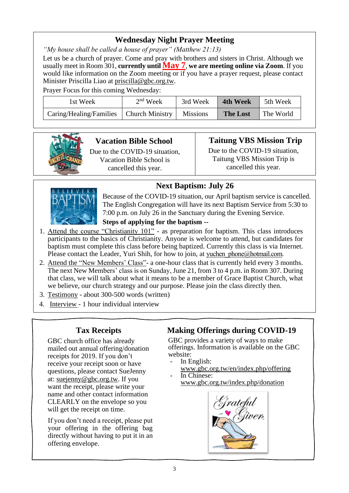## **Wednesday Night Prayer Meeting**

*"My house shall be called a house of prayer" (Matthew 21:13)*

Let us be a church of prayer. Come and pray with brothers and sisters in Christ. Although we usually meet in Room 301, **currently until May 7**, **we are meeting online via Zoom**. If you would like information on the Zoom meeting or if you have a prayer request, please contact Minister Priscilla Liao at [priscilla@gbc.org.tw.](mailto:priscilla@gbc.org.tw)

Prayer Focus for this coming Wednesday:

| 1st Week                                  | $2nd$ Week | 3rd Week        | <b>4th Week</b> | 5th Week  |
|-------------------------------------------|------------|-----------------|-----------------|-----------|
| Caring/Healing/Families   Church Ministry |            | <b>Missions</b> | <b>The Lost</b> | The World |



## **Vacation Bible School**

Due to the COVID-19 situation, Vacation Bible School is cancelled this year.

## **Taitung VBS Mission Trip**

Due to the COVID-19 situation, Taitung VBS Mission Trip is cancelled this year.

# **Next Baptism: July 26**



Because of the COVID-19 situation, our April baptism service is cancelled. The English Congregation will have its next Baptism Service from 5:30 to 7:00 p.m. on July 26 in the Sanctuary during the Evening Service.

## **Steps of applying for the baptism --**

- 1. Attend the course "Christianity 101" as preparation for baptism. This class introduces participants to the basics of Christianity. Anyone is welcome to attend, but candidates for baptism must complete this class before being baptized. Currently this class is via Internet. Please contact the Leader, Yuri Shih, for how to join, at yuchen phone@hotmail.com.
- 2. Attend the "New Members' Class"- a one-hour class that is currently held every 3 months. The next New Members' class is on Sunday, June 21, from 3 to 4 p.m. in Room 307. During that class, we will talk about what it means to be a member of Grace Baptist Church, what we believe, our church strategy and our purpose. Please join the class directly then.
- 3. Testimony about 300-500 words (written)
- 4. Interview 1 hour individual interview

## **Tax Receipts**

GBC church office has already mailed out annual offering/donation receipts for 2019. If you don't receive your receipt soon or have questions, please contact SueJenny at: [suejenny@gbc.org.tw.](mailto:suejenny@gbc.org.tw) If you want the receipt, please write your name and other contact information CLEARLY on the envelope so you will get the receipt on time.

If you don't need a receipt, please put your offering in the offering bag directly without having to put it in an offering envelope.

## **Making Offerings during COVID-19**

GBC provides a variety of ways to make offerings. Information is available on the GBC website:

- In English:
- [www.gbc.org.tw/en/index.php/offering](http://www.gbc.org.tw/en/index.php/offering/) In Chinese:
- www.gbc.org.tw/index.php/donation

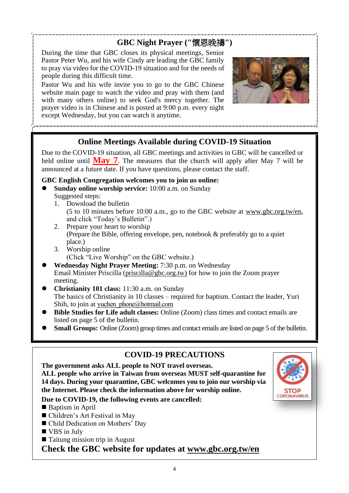# **GBC Night Prayer ("**懷恩晚禱**")**

During the time that GBC closes its physical meetings, Senior Pastor Peter Wu, and his wife Cindy are leading the GBC family to pray via video for the COVID-19 situation and for the needs of people during this difficult time.

Pastor Wu and his wife invite you to go to the GBC Chinese website main page to watch the video and pray with them (and with many others online) to seek God's mercy together. The prayer video is in Chinese and is posted at 9:00 p.m. every night except Wednesday, but you can watch it anytime.



## **Online Meetings Available during COVID-19 Situation**

Due to the COVID-19 situation, all GBC meetings and activities in GBC will be cancelled or held online until **May 7**. The measures that the church will apply after May 7 will be announced at a future date. If you have questions, please contact the staff.

#### **GBC English Congregation welcomes you to join us online:**

- ⚫ **Sunday online worship service:** 10:00 a.m. on Sunday Suggested steps:
	- 1. Download the bulletin (5 to 10 minutes before 10:00 a.m., go to the GBC website at www.gbc.org.tw/en, and click "Today's Bulletin".)
	- 2. Prepare your heart to worship (Prepare the Bible, offering envelope, pen, notebook & preferably go to a quiet place.)
	- 3. Worship online (Click "Live Worship" on the GBC website.)
- ⚫ **Wednesday Night Prayer Meeting:** 7:30 p.m. on Wednesday Email Minister Priscilla [\(priscilla@gbc.org.tw\)](mailto:priscilla@gbc.org.tw) for how to join the Zoom prayer meeting.
- ⚫ **Christianity 101 class:** 11:30 a.m. on Sunday The basics of Christianity in 10 classes – required for baptism. Contact the leader, Yuri Shih, to join at yuchen phone@hotmail.com
- ⚫ **Bible Studies for Life adult classes:** Online (Zoom) class times and contact emails are listed on page 5 of the bulletin.
- **Small Groups:** Online (Zoom) group times and contact emails are listed on page 5 of the bulletin.

## **COVID-19 PRECAUTIONS**

**The government asks ALL people to NOT travel overseas. ALL people who arrive in Taiwan from overseas MUST self-quarantine for 14 days. During your quarantine, GBC welcomes you to join our worship via the Internet. Please check the information above for worship online.**



- Baptism in April
- Children's Art Festival in May
- Child Dedication on Mothers' Day
- VBS in July
- Taitung mission trip in August

**Check the GBC website for updates at [www.gbc.org.tw/en](http://www.gbc.org.tw/en)**

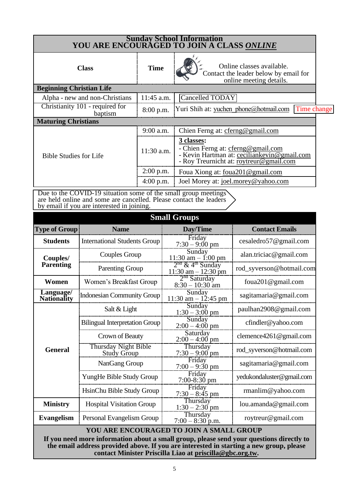| Sunday School Information<br>YOU ARE ENCOURAGED TO JOIN A CLASS ONLINE |              |                                                                                                                                            |  |  |  |
|------------------------------------------------------------------------|--------------|--------------------------------------------------------------------------------------------------------------------------------------------|--|--|--|
| <b>Class</b>                                                           | <b>Time</b>  | Online classes available.<br>Contact the leader below by email for<br>online meeting details.                                              |  |  |  |
| <b>Beginning Christian Life</b>                                        |              |                                                                                                                                            |  |  |  |
| Alpha - new and non-Christians                                         | 11:45 a.m.   | Cancelled TODAY                                                                                                                            |  |  |  |
| Christianity 101 - required for<br>baptism                             | 8:00 p.m.    | Yuri Shih at: yuchen phone@hotmail.com<br>Time change                                                                                      |  |  |  |
| <b>Maturing Christians</b>                                             |              |                                                                                                                                            |  |  |  |
|                                                                        | 9:00 a.m.    | Chien Ferng at: cferng@gmail.com                                                                                                           |  |  |  |
| <b>Bible Studies for Life</b>                                          | $11:30$ a.m. | 3 classes:<br>- Chien Ferng at: cferng@gmail.com<br>- Kevin Hartman at: ceciliankevin@gmail.com<br>- Roy Treurnicht at: roytreur@gmail.com |  |  |  |
|                                                                        | 2:00 p.m.    | Foua Xiong at: foua201@gmail.com                                                                                                           |  |  |  |
|                                                                        | $4:00$ p.m.  | Joel Morey at: joel.morey@yahoo.com                                                                                                        |  |  |  |

Due to the COVID-19 situation some of the small group meetings are held online and some are cancelled. Please contact the leaders by email if you are interested in joining.

| <b>Small Groups</b>                                                                                                                                                                                                                             |                                            |                                                           |                           |  |  |
|-------------------------------------------------------------------------------------------------------------------------------------------------------------------------------------------------------------------------------------------------|--------------------------------------------|-----------------------------------------------------------|---------------------------|--|--|
| <b>Type of Group</b>                                                                                                                                                                                                                            | <b>Name</b>                                | Day/Time                                                  | <b>Contact Emails</b>     |  |  |
| <b>Students</b>                                                                                                                                                                                                                                 | <b>International Students Group</b>        | Friday<br>$7:30 - 9:00 \text{ pm}$                        | cesaledro57@gmail.com     |  |  |
| Couples/                                                                                                                                                                                                                                        | Couples Group                              | Sunday<br>11:30 am $-$ 1:00 pm                            | alan.triciac@gmail.com    |  |  |
| <b>Parenting</b>                                                                                                                                                                                                                                | <b>Parenting Group</b>                     | $2nd$ & 4 <sup>th</sup> Sunday<br>$11:30$ am $- 12:30$ pm | rod_syverson@hotmail.com  |  |  |
| Women                                                                                                                                                                                                                                           | Women's Breakfast Group                    | $2nd$ Saturday<br>$8:30 - 10:30$ am                       | foua201@gmail.com         |  |  |
| Language/<br><b>Nationality</b>                                                                                                                                                                                                                 | <b>Indonesian Community Group</b>          | Sunday<br>$11:30$ am $-12:45$ pm                          | sagitamaria@gmail.com     |  |  |
|                                                                                                                                                                                                                                                 | Salt & Light                               | Sunday<br>$1:30 - 3:00$ pm                                | paulhan2908@gmail.com     |  |  |
|                                                                                                                                                                                                                                                 | <b>Bilingual Interpretation Group</b>      | Sunday<br>$2:00 - 4:00$ pm                                | cfindler@yahoo.com        |  |  |
|                                                                                                                                                                                                                                                 | Crown of Beauty                            | Saturday<br>$2:00 - 4:00$ pm                              | clemence4261@gmail.com    |  |  |
| <b>General</b>                                                                                                                                                                                                                                  | <b>Thursday Night Bible</b><br>Study Group | Thursday<br>$7:30 - 9:00$ pm                              | rod_syverson@hotmail.com  |  |  |
|                                                                                                                                                                                                                                                 | NanGang Group                              | Friday<br>$7:00 - 9:30$ pm                                | sagitamaria@gmail.com     |  |  |
|                                                                                                                                                                                                                                                 | YungHe Bible Study Group                   | Friday<br>$7:00-8:30$ pm                                  | yedukondaluster@gmail.com |  |  |
|                                                                                                                                                                                                                                                 | HsinChu Bible Study Group                  | Friday<br>$7:30 - 8:45$ pm                                | $r$ manlim@yahoo.com      |  |  |
| <b>Ministry</b>                                                                                                                                                                                                                                 | <b>Hospital Visitation Group</b>           | Thursday<br>$1:30 - 2:30$ pm                              | lou.amanda@gmail.com      |  |  |
| Evangelism                                                                                                                                                                                                                                      | Personal Evangelism Group                  | Thursday<br>$7:00 - 8:30$ p.m.                            | roytreur@gmail.com        |  |  |
| YOU ARE ENCOURAGED TO JOIN A SMALL GROUP                                                                                                                                                                                                        |                                            |                                                           |                           |  |  |
| If you need more information about a small group, please send your questions directly to<br>the email address provided above. If you are interested in starting a new group, please<br>contact Minister Priscilla Liao at priscilla@gbc.org.tw. |                                            |                                                           |                           |  |  |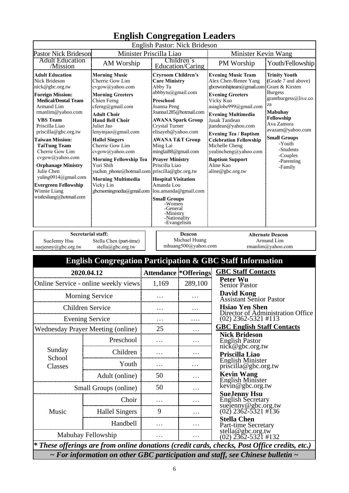| English Congregation Leagers                                                                                                                                                                                                                                                                                                                                                                                                                                                                                                                                                                                                                                                                                                                                                                                                                                                      |                       |  |                                                                                                                                                                                                                                                                                                                                                                                                                                                                                                                                            |                                                |                                                                                                                                                                                                                                                                                                                                                                                                                                                                                                                                                                                                                                                                             |  |  |
|-----------------------------------------------------------------------------------------------------------------------------------------------------------------------------------------------------------------------------------------------------------------------------------------------------------------------------------------------------------------------------------------------------------------------------------------------------------------------------------------------------------------------------------------------------------------------------------------------------------------------------------------------------------------------------------------------------------------------------------------------------------------------------------------------------------------------------------------------------------------------------------|-----------------------|--|--------------------------------------------------------------------------------------------------------------------------------------------------------------------------------------------------------------------------------------------------------------------------------------------------------------------------------------------------------------------------------------------------------------------------------------------------------------------------------------------------------------------------------------------|------------------------------------------------|-----------------------------------------------------------------------------------------------------------------------------------------------------------------------------------------------------------------------------------------------------------------------------------------------------------------------------------------------------------------------------------------------------------------------------------------------------------------------------------------------------------------------------------------------------------------------------------------------------------------------------------------------------------------------------|--|--|
| English Pastor: Nick Brideson<br>Minister Priscilla Liao<br><b>Pastor Nick Brideson</b>                                                                                                                                                                                                                                                                                                                                                                                                                                                                                                                                                                                                                                                                                                                                                                                           |                       |  |                                                                                                                                                                                                                                                                                                                                                                                                                                                                                                                                            | Minister Kevin Wang                            |                                                                                                                                                                                                                                                                                                                                                                                                                                                                                                                                                                                                                                                                             |  |  |
| <b>Adult Education</b><br>AM Worship<br>/Mission                                                                                                                                                                                                                                                                                                                                                                                                                                                                                                                                                                                                                                                                                                                                                                                                                                  |                       |  |                                                                                                                                                                                                                                                                                                                                                                                                                                                                                                                                            | Children's                                     | Youth/Fellowship<br>PM Worship                                                                                                                                                                                                                                                                                                                                                                                                                                                                                                                                                                                                                                              |  |  |
| <b>Adult Education</b><br><b>Morning Music</b><br>Cherrie Gow Lim<br>Nick Brideson<br>cvgow@yahoo.com<br>nick@gbc.org.tw<br><b>Morning Greeters</b><br><b>Foreign Mission:</b><br><b>Medical/Dental Team</b><br>Chien Ferng<br>cferng@gmail.com<br>Armand Lim<br>rmanlim@yahoo.com<br><b>Adult Choir</b><br><b>VBS</b> Team<br><b>Hand Bell Choir</b><br>Priscilla Liao<br>Juliet Jao<br>priscilla@gbc.org.tw<br>lenyinjao@gmail.com<br><b>Taiwan Mission:</b><br><b>Hallel Singers</b><br>Cherrie Gow Lim<br><b>TaiTung Team</b><br>Cherrie Gow Lim<br>cvgow@yahoo.com<br>cvgow@yahoo.com<br><b>Morning Fellowship Tea</b><br><b>Orphanage Ministry</b><br>Yuri Shih<br>Julie Chen<br>yuchen phone@hotmail.com priscilla@gbc.org.tw<br>yuling0914@gmail.com<br><b>Morning Multimedia</b><br><b>Evergreen Fellowship</b><br>Vicky Lin<br>Winnie Liang<br>wistlesliang@hotmail.com |                       |  | Education/Caring<br><b>Cryroom Children's</b><br><b>Care Ministry</b><br>Abby Tu<br>abbbytu@gmail.com<br><b>Preschool</b><br>Joanna Peng<br>Joanna1285@hotmail.com<br><b>AWANA Spark Group</b><br>Crystal Turner<br>elisayeh@yahoo.com<br><b>AWANA T&amp;T Group</b><br>Ming Lai<br>minglai88@gmail.com<br><b>Prayer Ministry</b><br>Priscilla Liao<br><b>Hospital Visitation</b><br>Amanda Lou<br>gbcmorningmedia@gmail.com lou.amanda@gmail.com<br><b>Small Groups</b><br>-Women<br>-General<br>-Ministry<br>-Nationality<br>-Evangelism |                                                | <b>Evening Music Team</b><br><b>Trinity Youth</b><br>Alex Chen /Renee Yang<br>(Grade 7 and above)<br>gbceworshipteam@gmail.com<br>Grant & Kirsten<br><b>Burgess</b><br><b>Evening Greeters</b><br>grantburgess@live.co.<br>Vicky Kuo<br>za<br>asiaglobe999@gmail.com<br><b>Mabuhay</b><br><b>Evening Multimedia</b><br>Fellowship<br><b>Jusak Tandean</b><br>Ava Zamora<br>jtandean@yahoo.com<br>avazam@yahoo.com<br><b>Evening Tea / Baptism</b><br><b>Small Groups</b><br><b>Celebration Fellowship</b><br>-Youth<br>Michelle Cheng<br>-Students<br>yealincheng@yahoo.com<br>-Couples<br><b>Baptism Support</b><br>-Parenting<br>Aline Kao<br>-Family<br>aline@gbc.org.tw |  |  |
| <b>Secretarial staff:</b><br>SueJenny Hsu<br>Stella Chen (part-time)<br>suejenny@gbc.org.tw<br>stella@gbc.org.tw                                                                                                                                                                                                                                                                                                                                                                                                                                                                                                                                                                                                                                                                                                                                                                  |                       |  |                                                                                                                                                                                                                                                                                                                                                                                                                                                                                                                                            | Deacon<br>Michael Huang<br>mhuang500@yahoo.com | <b>Alternate Deacon</b><br>Armand Lim<br>rmanlim@yahoo.com                                                                                                                                                                                                                                                                                                                                                                                                                                                                                                                                                                                                                  |  |  |
|                                                                                                                                                                                                                                                                                                                                                                                                                                                                                                                                                                                                                                                                                                                                                                                                                                                                                   |                       |  |                                                                                                                                                                                                                                                                                                                                                                                                                                                                                                                                            |                                                | <b>English Congregation Participation &amp; GBC Staff Information</b>                                                                                                                                                                                                                                                                                                                                                                                                                                                                                                                                                                                                       |  |  |
| 2020.04.12                                                                                                                                                                                                                                                                                                                                                                                                                                                                                                                                                                                                                                                                                                                                                                                                                                                                        |                       |  |                                                                                                                                                                                                                                                                                                                                                                                                                                                                                                                                            | <b>Attendance *Offerings</b>                   | <b>GBC Staff Contacts</b>                                                                                                                                                                                                                                                                                                                                                                                                                                                                                                                                                                                                                                                   |  |  |
| Online Service - online weekly views                                                                                                                                                                                                                                                                                                                                                                                                                                                                                                                                                                                                                                                                                                                                                                                                                                              |                       |  | 1,169                                                                                                                                                                                                                                                                                                                                                                                                                                                                                                                                      | 289,100                                        | <b>Peter Wu</b><br><b>Senior Pastor</b>                                                                                                                                                                                                                                                                                                                                                                                                                                                                                                                                                                                                                                     |  |  |
| <b>Morning Service</b>                                                                                                                                                                                                                                                                                                                                                                                                                                                                                                                                                                                                                                                                                                                                                                                                                                                            |                       |  |                                                                                                                                                                                                                                                                                                                                                                                                                                                                                                                                            |                                                | <b>David Kong</b><br>Assistant Senior Pastor                                                                                                                                                                                                                                                                                                                                                                                                                                                                                                                                                                                                                                |  |  |
| <b>Children Service</b>                                                                                                                                                                                                                                                                                                                                                                                                                                                                                                                                                                                                                                                                                                                                                                                                                                                           |                       |  |                                                                                                                                                                                                                                                                                                                                                                                                                                                                                                                                            | .                                              | <b>Hsiao Yen Shen</b><br>Director of Administration Office                                                                                                                                                                                                                                                                                                                                                                                                                                                                                                                                                                                                                  |  |  |
| <b>Evening Service</b>                                                                                                                                                                                                                                                                                                                                                                                                                                                                                                                                                                                                                                                                                                                                                                                                                                                            |                       |  |                                                                                                                                                                                                                                                                                                                                                                                                                                                                                                                                            |                                                | $(02)$ 2362-5321 #113                                                                                                                                                                                                                                                                                                                                                                                                                                                                                                                                                                                                                                                       |  |  |
| <b>Wednesday Prayer Meeting (online)</b>                                                                                                                                                                                                                                                                                                                                                                                                                                                                                                                                                                                                                                                                                                                                                                                                                                          |                       |  | 25                                                                                                                                                                                                                                                                                                                                                                                                                                                                                                                                         | .                                              | <b>GBC English Staff Contacts</b><br><b>Nick Brideson</b>                                                                                                                                                                                                                                                                                                                                                                                                                                                                                                                                                                                                                   |  |  |
|                                                                                                                                                                                                                                                                                                                                                                                                                                                                                                                                                                                                                                                                                                                                                                                                                                                                                   | Preschool             |  |                                                                                                                                                                                                                                                                                                                                                                                                                                                                                                                                            | .                                              | <b>English Pastor</b><br>nick@gbc.org.tw                                                                                                                                                                                                                                                                                                                                                                                                                                                                                                                                                                                                                                    |  |  |
| Sunday<br>School                                                                                                                                                                                                                                                                                                                                                                                                                                                                                                                                                                                                                                                                                                                                                                                                                                                                  | Children              |  |                                                                                                                                                                                                                                                                                                                                                                                                                                                                                                                                            | .                                              | Priscilla Liao                                                                                                                                                                                                                                                                                                                                                                                                                                                                                                                                                                                                                                                              |  |  |
| Classes                                                                                                                                                                                                                                                                                                                                                                                                                                                                                                                                                                                                                                                                                                                                                                                                                                                                           | Youth                 |  | .                                                                                                                                                                                                                                                                                                                                                                                                                                                                                                                                          | .                                              | <b>English Minister</b><br>priscilla@gbc.org.tw                                                                                                                                                                                                                                                                                                                                                                                                                                                                                                                                                                                                                             |  |  |
|                                                                                                                                                                                                                                                                                                                                                                                                                                                                                                                                                                                                                                                                                                                                                                                                                                                                                   | Adult (online)        |  | 50                                                                                                                                                                                                                                                                                                                                                                                                                                                                                                                                         | .                                              | <b>Kevin Wang</b><br>English Minister                                                                                                                                                                                                                                                                                                                                                                                                                                                                                                                                                                                                                                       |  |  |
| Small Groups (online)                                                                                                                                                                                                                                                                                                                                                                                                                                                                                                                                                                                                                                                                                                                                                                                                                                                             |                       |  | 50                                                                                                                                                                                                                                                                                                                                                                                                                                                                                                                                         | .                                              | $\overline{\text{kevin}}$ @gbc.org.tw                                                                                                                                                                                                                                                                                                                                                                                                                                                                                                                                                                                                                                       |  |  |
|                                                                                                                                                                                                                                                                                                                                                                                                                                                                                                                                                                                                                                                                                                                                                                                                                                                                                   | Choir                 |  |                                                                                                                                                                                                                                                                                                                                                                                                                                                                                                                                            | .                                              | <b>SueJenny Hsu</b><br><b>English Secretary</b>                                                                                                                                                                                                                                                                                                                                                                                                                                                                                                                                                                                                                             |  |  |
| Music                                                                                                                                                                                                                                                                                                                                                                                                                                                                                                                                                                                                                                                                                                                                                                                                                                                                             | <b>Hallel Singers</b> |  | 9                                                                                                                                                                                                                                                                                                                                                                                                                                                                                                                                          | .                                              | suejenny@gbc.org.tw<br>(02) 2362-5321 #136                                                                                                                                                                                                                                                                                                                                                                                                                                                                                                                                                                                                                                  |  |  |
|                                                                                                                                                                                                                                                                                                                                                                                                                                                                                                                                                                                                                                                                                                                                                                                                                                                                                   | Handbell              |  |                                                                                                                                                                                                                                                                                                                                                                                                                                                                                                                                            | .                                              | <b>Stella Chen</b><br>Part-time Secretary                                                                                                                                                                                                                                                                                                                                                                                                                                                                                                                                                                                                                                   |  |  |
| Mabuhay Fellowship                                                                                                                                                                                                                                                                                                                                                                                                                                                                                                                                                                                                                                                                                                                                                                                                                                                                |                       |  |                                                                                                                                                                                                                                                                                                                                                                                                                                                                                                                                            |                                                | stella@gbc.org.tw<br>(02) 2362-5321 #132                                                                                                                                                                                                                                                                                                                                                                                                                                                                                                                                                                                                                                    |  |  |
|                                                                                                                                                                                                                                                                                                                                                                                                                                                                                                                                                                                                                                                                                                                                                                                                                                                                                   |                       |  |                                                                                                                                                                                                                                                                                                                                                                                                                                                                                                                                            |                                                | * These offerings are from online donations (credit cards, checks, Post Office credits, etc.)                                                                                                                                                                                                                                                                                                                                                                                                                                                                                                                                                                               |  |  |
| $\sim$ For information on other GBC participation and staff, see Chinese bulletin $\sim$                                                                                                                                                                                                                                                                                                                                                                                                                                                                                                                                                                                                                                                                                                                                                                                          |                       |  |                                                                                                                                                                                                                                                                                                                                                                                                                                                                                                                                            |                                                |                                                                                                                                                                                                                                                                                                                                                                                                                                                                                                                                                                                                                                                                             |  |  |

# **English Congregation Leaders**